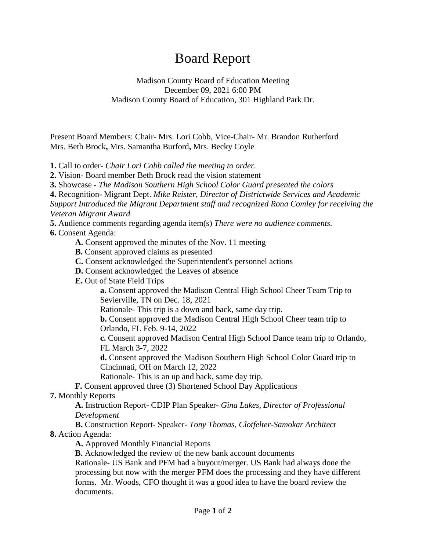## Board Report

Madison County Board of Education Meeting December 09, 2021 6:00 PM Madison County Board of Education, 301 Highland Park Dr.

Present Board Members: Chair- Mrs. Lori Cobb, Vice-Chair- Mr. Brandon Rutherford Mrs. Beth Brock**,** Mrs. Samantha Burford**,** Mrs. Becky Coyle

**1.** Call to order- *Chair Lori Cobb called the meeting to order.*

**2.** Vision- Board member Beth Brock read the vision statement

**3.** Showcase - *The Madison Southern High School Color Guard presented the colors*

**4.** Recognition- Migrant Dept. *Mike Reister, Director of Districtwide Services and Academic Support Introduced the Migrant Department staff and recognized Rona Comley for receiving the Veteran Migrant Award*

**5.** Audience comments regarding agenda item(s) *There were no audience comments.*

**6.** Consent Agenda:

- **A.** Consent approved the minutes of the Nov. 11 meeting
- **B.** Consent approved claims as presented
- **C.** Consent acknowledged the Superintendent's personnel actions
- **D.** Consent acknowledged the Leaves of absence

**E.** Out of State Field Trips

**a.** Consent approved the Madison Central High School Cheer Team Trip to Sevierville, TN on Dec. 18, 2021

Rationale- This trip is a down and back, same day trip.

**b.** Consent approved the Madison Central High School Cheer team trip to Orlando, FL Feb. 9-14, 2022

**c.** Consent approved Madison Central High School Dance team trip to Orlando, FL March 3-7, 2022

**d.** Consent approved the Madison Southern High School Color Guard trip to Cincinnati, OH on March 12, 2022

Rationale- This is an up and back, same day trip.

**F.** Consent approved three (3) Shortened School Day Applications

**7.** Monthly Reports

**A.** Instruction Report- CDIP Plan Speaker- *Gina Lakes, Director of Professional Development*

**B.** Construction Report- Speaker- *Tony Thomas, Clotfelter-Samokar Architect* **8.** Action Agenda:

**A.** Approved Monthly Financial Reports

**B.** Acknowledged the review of the new bank account documents

Rationale- US Bank and PFM had a buyout/merger. US Bank had always done the processing but now with the merger PFM does the processing and they have different forms. Mr. Woods, CFO thought it was a good idea to have the board review the documents.